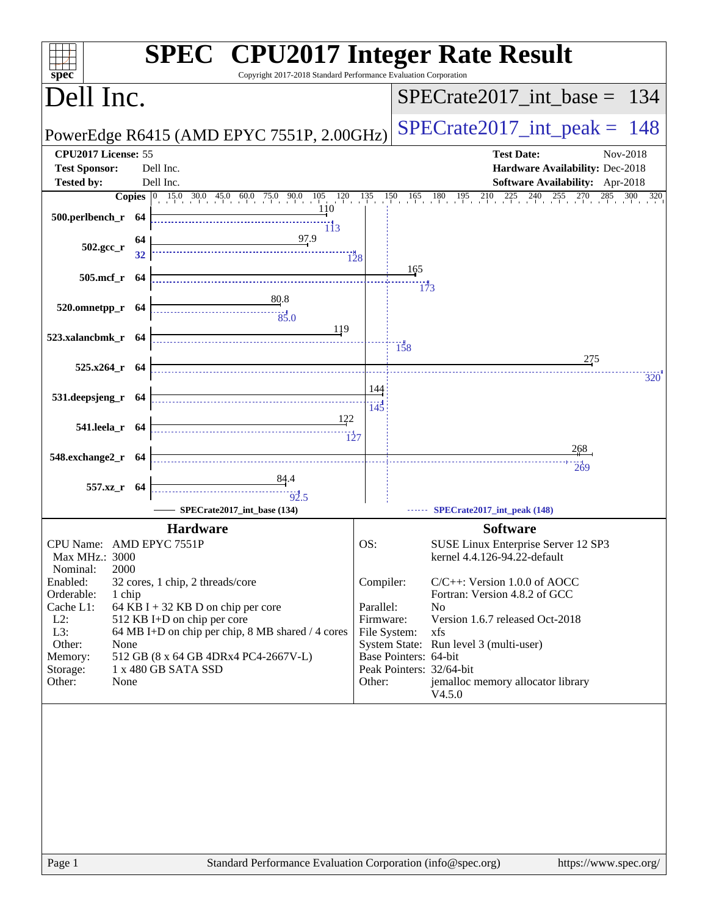| spec <sup>®</sup>        |        | <b>SPEC<sup>®</sup> CPU2017 Integer Rate Result</b><br>Copyright 2017-2018 Standard Performance Evaluation Corporation |              |                       |                                                                  |
|--------------------------|--------|------------------------------------------------------------------------------------------------------------------------|--------------|-----------------------|------------------------------------------------------------------|
| Dell Inc.                |        |                                                                                                                        |              |                       | $SPECrate2017\_int\_base = 134$                                  |
|                          |        | PowerEdge R6415 (AMD EPYC 7551P, 2.00GHz)                                                                              |              |                       | $SPECrate2017\_int\_peak = 148$                                  |
| CPU2017 License: 55      |        |                                                                                                                        |              |                       | <b>Test Date:</b><br>Nov-2018                                    |
| <b>Test Sponsor:</b>     |        | Dell Inc.                                                                                                              |              |                       | Hardware Availability: Dec-2018                                  |
| <b>Tested by:</b>        |        | Dell Inc.                                                                                                              |              |                       | Software Availability: Apr-2018                                  |
|                          |        | <b>Copies</b> 0 15.0 30.0 45.0 60.0 75.0 90.0 105 120 135 150 165 180 195 210<br><u>1</u> 10                           |              |                       | $^{225}$<br>240<br>$255 \t270 \t285$<br>$300 \quad 320$          |
| 500.perlbench_r 64       |        | 113                                                                                                                    |              |                       |                                                                  |
|                          | 64     |                                                                                                                        |              |                       |                                                                  |
| $502.\text{gcc}_r$       | 32     | $\frac{97.9}{1}$                                                                                                       | 128          |                       |                                                                  |
| 505.mcf_r 64             |        |                                                                                                                        |              | 165                   |                                                                  |
|                          |        |                                                                                                                        |              | 173                   |                                                                  |
| 520.omnetpp_r 64         |        | 80.8                                                                                                                   |              |                       |                                                                  |
|                          |        | $\frac{1}{85.0}$                                                                                                       |              |                       |                                                                  |
| 523.xalancbmk_r 64       |        | 119                                                                                                                    |              |                       |                                                                  |
|                          |        |                                                                                                                        |              | 158                   | 275                                                              |
| 525.x264_r 64            |        |                                                                                                                        |              |                       | 320                                                              |
|                          |        |                                                                                                                        | 144          |                       |                                                                  |
| 531.deepsjeng_r 64       |        |                                                                                                                        | 145          |                       |                                                                  |
| 541.leela_r 64           |        | 122                                                                                                                    |              |                       |                                                                  |
|                          |        | $\overline{127}$                                                                                                       |              |                       |                                                                  |
| 548.exchange2_r 64       |        |                                                                                                                        |              |                       | 2,68                                                             |
|                          |        |                                                                                                                        |              |                       | 269                                                              |
| 557.xz_r 64              |        |                                                                                                                        |              |                       |                                                                  |
|                          |        | 92.5<br>SPECrate2017_int_base (134)                                                                                    |              |                       | SPECrate2017_int_peak (148)                                      |
|                          |        | <b>Hardware</b>                                                                                                        |              |                       | <b>Software</b>                                                  |
| CPU Name: AMD EPYC 7551P |        |                                                                                                                        | OS:          |                       | SUSE Linux Enterprise Server 12 SP3                              |
| Max MHz.: 3000           |        |                                                                                                                        |              |                       | kernel 4.4.126-94.22-default                                     |
| 2000<br>Nominal:         |        |                                                                                                                        |              |                       |                                                                  |
| Enabled:                 |        | 32 cores, 1 chip, 2 threads/core                                                                                       | Compiler:    |                       | $C/C++$ : Version 1.0.0 of AOCC<br>Fortran: Version 4.8.2 of GCC |
| Orderable:<br>Cache L1:  | 1 chip | 64 KB I + 32 KB D on chip per core                                                                                     | Parallel:    |                       | N <sub>o</sub>                                                   |
| $L2$ :                   |        | 512 KB I+D on chip per core                                                                                            | Firmware:    |                       | Version 1.6.7 released Oct-2018                                  |
| L3:<br>Other:            |        | 64 MB I+D on chip per chip, 8 MB shared / 4 cores                                                                      | File System: |                       | xfs                                                              |
| None<br>Memory:          |        | 512 GB (8 x 64 GB 4DRx4 PC4-2667V-L)                                                                                   |              | Base Pointers: 64-bit | System State: Run level 3 (multi-user)                           |
| Storage:                 |        | 1 x 480 GB SATA SSD                                                                                                    |              |                       | Peak Pointers: 32/64-bit                                         |
| Other:<br>None           |        |                                                                                                                        | Other:       |                       | jemalloc memory allocator library                                |
|                          |        |                                                                                                                        |              |                       | V4.5.0                                                           |
|                          |        |                                                                                                                        |              |                       |                                                                  |
| Page 1                   |        | Standard Performance Evaluation Corporation (info@spec.org)                                                            |              |                       | https://www.spec.org/                                            |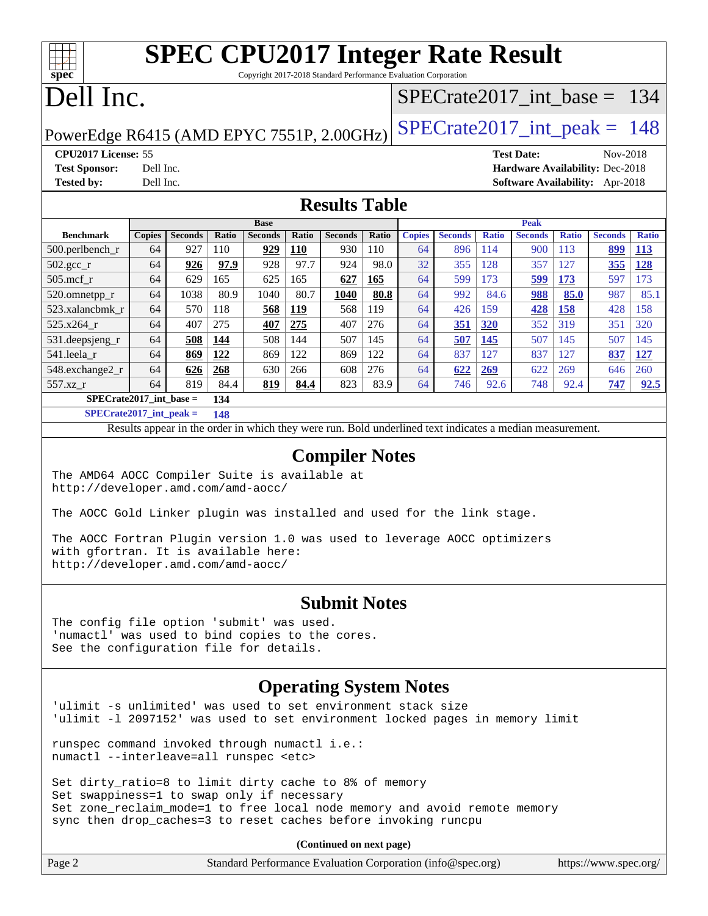### **[SPEC CPU2017 Integer Rate Result](http://www.spec.org/auto/cpu2017/Docs/result-fields.html#SPECCPU2017IntegerRateResult)** Copyright 2017-2018 Standard Performance Evaluation Corporation

# Dell Inc.

**[spec](http://www.spec.org/)**

### [SPECrate2017\\_int\\_base =](http://www.spec.org/auto/cpu2017/Docs/result-fields.html#SPECrate2017intbase) 134

## PowerEdge R6415 (AMD EPYC 7551P, 2.00GHz) SPECrate  $2017$  int peak = 148

**[Tested by:](http://www.spec.org/auto/cpu2017/Docs/result-fields.html#Testedby)** Dell Inc. **[Software Availability:](http://www.spec.org/auto/cpu2017/Docs/result-fields.html#SoftwareAvailability)** Apr-2018

**[CPU2017 License:](http://www.spec.org/auto/cpu2017/Docs/result-fields.html#CPU2017License)** 55 **[Test Date:](http://www.spec.org/auto/cpu2017/Docs/result-fields.html#TestDate)** Nov-2018 **[Test Sponsor:](http://www.spec.org/auto/cpu2017/Docs/result-fields.html#TestSponsor)** Dell Inc. **[Hardware Availability:](http://www.spec.org/auto/cpu2017/Docs/result-fields.html#HardwareAvailability)** Dec-2018

### **[Results Table](http://www.spec.org/auto/cpu2017/Docs/result-fields.html#ResultsTable)**

|                           | <b>Base</b>   |                |       |                |            | <b>Peak</b>    |       |               |                |              |                |              |                |              |
|---------------------------|---------------|----------------|-------|----------------|------------|----------------|-------|---------------|----------------|--------------|----------------|--------------|----------------|--------------|
| <b>Benchmark</b>          | <b>Copies</b> | <b>Seconds</b> | Ratio | <b>Seconds</b> | Ratio      | <b>Seconds</b> | Ratio | <b>Copies</b> | <b>Seconds</b> | <b>Ratio</b> | <b>Seconds</b> | <b>Ratio</b> | <b>Seconds</b> | <b>Ratio</b> |
| $500.$ perlbench_r        | 64            | 927            | 110   | 929            | <b>110</b> | 930            | 110   | 64            | 896            | 114          | 900            | 113          | 899            | <u>113</u>   |
| $502.\text{gcc}_{r}$      | 64            | 926            | 97.9  | 928            | 97.7       | 924            | 98.0  | 32            | 355            | 128          | 357            | 127          | 355            | 128          |
| $505$ .mcf r              | 64            | 629            | 165   | 625            | 165        | 627            | 165   | 64            | 599            | 173          | 599            | 173          | 597            | 73           |
| 520.omnetpp_r             | 64            | 1038           | 80.9  | 1040           | 80.7       | 1040           | 80.8  | 64            | 992            | 84.6         | 988            | 85.0         | 987            | 85.1         |
| 523.xalancbmk r           | 64            | 570            | 118   | 568            | 119        | 568            | 119   | 64            | 426            | 159          | 428            | 158          | 428            | 158          |
| 525.x264 r                | 64            | 407            | 275   | 407            | 275        | 407            | 276   | 64            | <b>351</b>     | 320          | 352            | 319          | 351            | 320          |
| 531.deepsjeng_r           | 64            | 508            | 144   | 508            | 144        | 507            | 145   | 64            | 507            | 145          | 507            | 145          | 507            | 145          |
| 541.leela r               | 64            | 869            | 122   | 869            | 122        | 869            | 122   | 64            | 837            | 127          | 837            | 127          | 837            | 127          |
| 548.exchange2_r           | 64            | 626            | 268   | 630            | 266        | 608            | 276   | 64            | 622            | 269          | 622            | 269          | 646            | 260          |
| 557.xz r                  | 64            | 819            | 84.4  | 819            | 84.4       | 823            | 83.9  | 64            | 746            | 92.6         | 748            | 92.4         | 747            | 92.5         |
| $SPECrate2017$ int base = |               |                | 134   |                |            |                |       |               |                |              |                |              |                |              |

**[SPECrate2017\\_int\\_peak =](http://www.spec.org/auto/cpu2017/Docs/result-fields.html#SPECrate2017intpeak) 148**

Results appear in the [order in which they were run.](http://www.spec.org/auto/cpu2017/Docs/result-fields.html#RunOrder) Bold underlined text [indicates a median measurement.](http://www.spec.org/auto/cpu2017/Docs/result-fields.html#Median)

#### **[Compiler Notes](http://www.spec.org/auto/cpu2017/Docs/result-fields.html#CompilerNotes)**

The AMD64 AOCC Compiler Suite is available at <http://developer.amd.com/amd-aocc/>

The AOCC Gold Linker plugin was installed and used for the link stage.

The AOCC Fortran Plugin version 1.0 was used to leverage AOCC optimizers with gfortran. It is available here: <http://developer.amd.com/amd-aocc/>

### **[Submit Notes](http://www.spec.org/auto/cpu2017/Docs/result-fields.html#SubmitNotes)**

The config file option 'submit' was used. 'numactl' was used to bind copies to the cores. See the configuration file for details.

### **[Operating System Notes](http://www.spec.org/auto/cpu2017/Docs/result-fields.html#OperatingSystemNotes)**

'ulimit -s unlimited' was used to set environment stack size 'ulimit -l 2097152' was used to set environment locked pages in memory limit

runspec command invoked through numactl i.e.: numactl --interleave=all runspec <etc>

Set dirty\_ratio=8 to limit dirty cache to 8% of memory Set swappiness=1 to swap only if necessary Set zone\_reclaim\_mode=1 to free local node memory and avoid remote memory sync then drop\_caches=3 to reset caches before invoking runcpu

**(Continued on next page)**

| Page 2 | Standard Performance Evaluation Corporation (info@spec.org) |  | https://www.spec.org/ |
|--------|-------------------------------------------------------------|--|-----------------------|
|--------|-------------------------------------------------------------|--|-----------------------|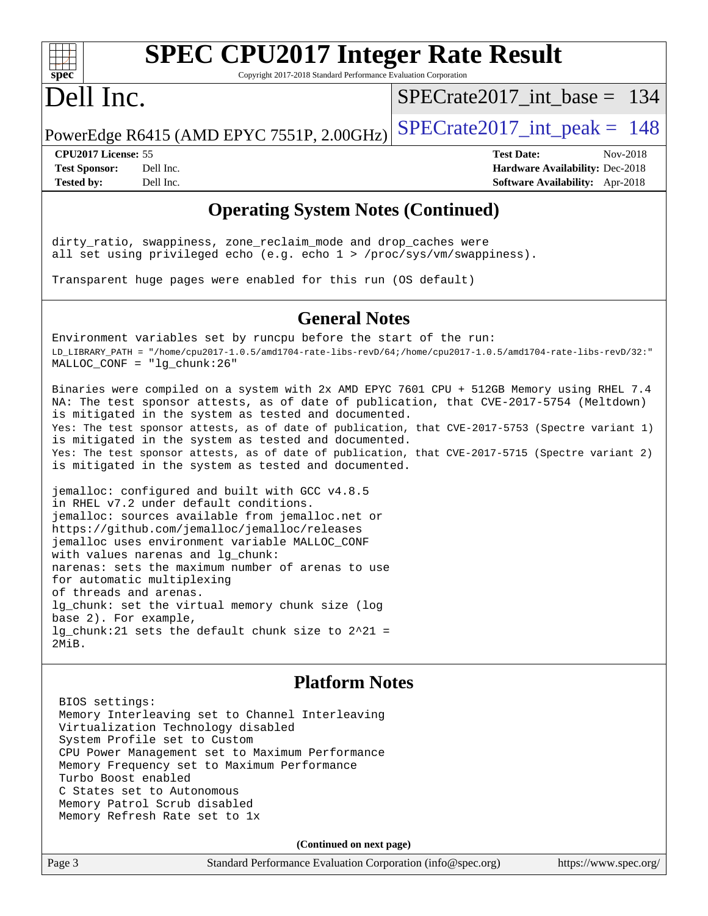# **[spec](http://www.spec.org/)**

# **[SPEC CPU2017 Integer Rate Result](http://www.spec.org/auto/cpu2017/Docs/result-fields.html#SPECCPU2017IntegerRateResult)**

Copyright 2017-2018 Standard Performance Evaluation Corporation

# Dell Inc.

[SPECrate2017\\_int\\_base =](http://www.spec.org/auto/cpu2017/Docs/result-fields.html#SPECrate2017intbase) 134

PowerEdge R6415 (AMD EPYC 7551P, 2.00GHz) SPECrate  $2017$  int peak = 148

**[Tested by:](http://www.spec.org/auto/cpu2017/Docs/result-fields.html#Testedby)** Dell Inc. **[Software Availability:](http://www.spec.org/auto/cpu2017/Docs/result-fields.html#SoftwareAvailability)** Apr-2018

**[CPU2017 License:](http://www.spec.org/auto/cpu2017/Docs/result-fields.html#CPU2017License)** 55 **[Test Date:](http://www.spec.org/auto/cpu2017/Docs/result-fields.html#TestDate)** Nov-2018 **[Test Sponsor:](http://www.spec.org/auto/cpu2017/Docs/result-fields.html#TestSponsor)** Dell Inc. **[Hardware Availability:](http://www.spec.org/auto/cpu2017/Docs/result-fields.html#HardwareAvailability)** Dec-2018

### **[Operating System Notes \(Continued\)](http://www.spec.org/auto/cpu2017/Docs/result-fields.html#OperatingSystemNotes)**

dirty\_ratio, swappiness, zone\_reclaim\_mode and drop\_caches were all set using privileged echo (e.g. echo 1 > /proc/sys/vm/swappiness).

Transparent huge pages were enabled for this run (OS default)

### **[General Notes](http://www.spec.org/auto/cpu2017/Docs/result-fields.html#GeneralNotes)**

Environment variables set by runcpu before the start of the run: LD\_LIBRARY\_PATH = "/home/cpu2017-1.0.5/amd1704-rate-libs-revD/64;/home/cpu2017-1.0.5/amd1704-rate-libs-revD/32:" MALLOC\_CONF = "lg\_chunk:26"

Binaries were compiled on a system with 2x AMD EPYC 7601 CPU + 512GB Memory using RHEL 7.4 NA: The test sponsor attests, as of date of publication, that CVE-2017-5754 (Meltdown) is mitigated in the system as tested and documented. Yes: The test sponsor attests, as of date of publication, that CVE-2017-5753 (Spectre variant 1) is mitigated in the system as tested and documented. Yes: The test sponsor attests, as of date of publication, that CVE-2017-5715 (Spectre variant 2) is mitigated in the system as tested and documented.

jemalloc: configured and built with GCC v4.8.5 in RHEL v7.2 under default conditions. jemalloc: sources available from jemalloc.net or <https://github.com/jemalloc/jemalloc/releases> jemalloc uses environment variable MALLOC\_CONF with values narenas and lg\_chunk: narenas: sets the maximum number of arenas to use for automatic multiplexing of threads and arenas. lg\_chunk: set the virtual memory chunk size (log base 2). For example, lg\_chunk:21 sets the default chunk size to 2^21 = 2MiB.

### **[Platform Notes](http://www.spec.org/auto/cpu2017/Docs/result-fields.html#PlatformNotes)**

 BIOS settings: Memory Interleaving set to Channel Interleaving Virtualization Technology disabled System Profile set to Custom CPU Power Management set to Maximum Performance Memory Frequency set to Maximum Performance Turbo Boost enabled C States set to Autonomous Memory Patrol Scrub disabled Memory Refresh Rate set to 1x

**(Continued on next page)**

Page 3 Standard Performance Evaluation Corporation [\(info@spec.org\)](mailto:info@spec.org) <https://www.spec.org/>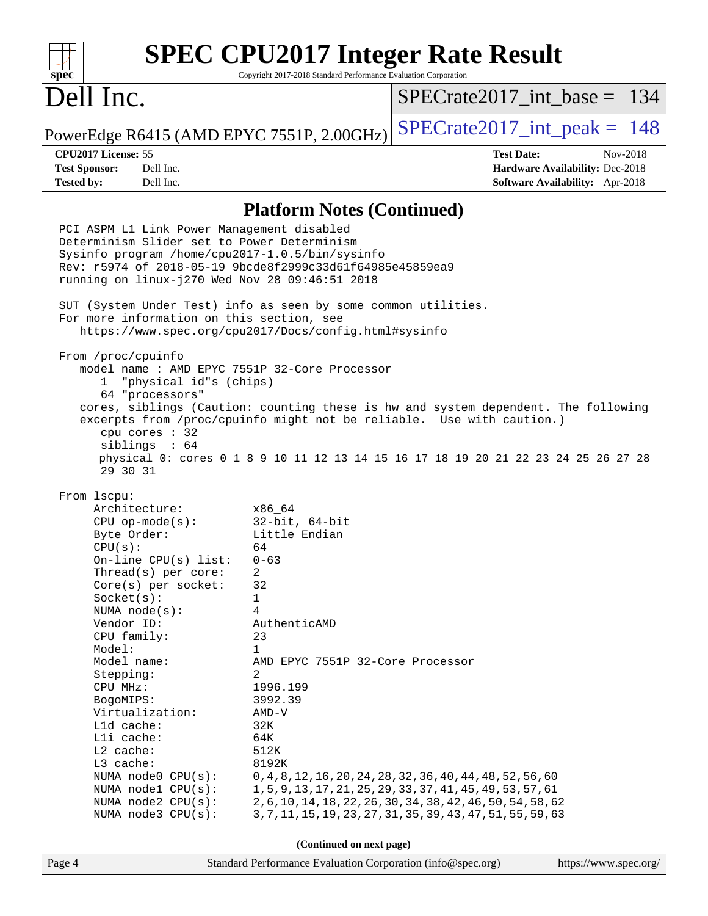#### **[SPEC CPU2017 Integer Rate Result](http://www.spec.org/auto/cpu2017/Docs/result-fields.html#SPECCPU2017IntegerRateResult)**  $+\ +$ **[spec](http://www.spec.org/)** Copyright 2017-2018 Standard Performance Evaluation Corporation Dell Inc. [SPECrate2017\\_int\\_base =](http://www.spec.org/auto/cpu2017/Docs/result-fields.html#SPECrate2017intbase) 134 PowerEdge R6415 (AMD EPYC 7551P, 2.00GHz)  $\text{SPECrate}$  2017\_int\_peak = 148 **[CPU2017 License:](http://www.spec.org/auto/cpu2017/Docs/result-fields.html#CPU2017License)** 55 **[Test Date:](http://www.spec.org/auto/cpu2017/Docs/result-fields.html#TestDate)** Nov-2018 **[Test Sponsor:](http://www.spec.org/auto/cpu2017/Docs/result-fields.html#TestSponsor)** Dell Inc. **[Hardware Availability:](http://www.spec.org/auto/cpu2017/Docs/result-fields.html#HardwareAvailability)** Dec-2018 **[Tested by:](http://www.spec.org/auto/cpu2017/Docs/result-fields.html#Testedby)** Dell Inc. **[Software Availability:](http://www.spec.org/auto/cpu2017/Docs/result-fields.html#SoftwareAvailability)** Apr-2018 **[Platform Notes \(Continued\)](http://www.spec.org/auto/cpu2017/Docs/result-fields.html#PlatformNotes)** PCI ASPM L1 Link Power Management disabled Determinism Slider set to Power Determinism Sysinfo program /home/cpu2017-1.0.5/bin/sysinfo Rev: r5974 of 2018-05-19 9bcde8f2999c33d61f64985e45859ea9 running on linux-j270 Wed Nov 28 09:46:51 2018 SUT (System Under Test) info as seen by some common utilities. For more information on this section, see <https://www.spec.org/cpu2017/Docs/config.html#sysinfo> From /proc/cpuinfo model name : AMD EPYC 7551P 32-Core Processor 1 "physical id"s (chips) 64 "processors" cores, siblings (Caution: counting these is hw and system dependent. The following excerpts from /proc/cpuinfo might not be reliable. Use with caution.) cpu cores : 32 siblings : 64 physical 0: cores 0 1 8 9 10 11 12 13 14 15 16 17 18 19 20 21 22 23 24 25 26 27 28 29 30 31 From lscpu: Architecture: x86\_64 CPU op-mode(s): 32-bit, 64-bit Byte Order: Little Endian  $CPU(s):$  64 On-line CPU(s) list: 0-63 Thread(s) per core: 2 Core(s) per socket: 32 Socket(s): 1 NUMA node(s): 4 Vendor ID: AuthenticAMD CPU family: 23 Model: 1 Model name: AMD EPYC 7551P 32-Core Processor Stepping: 2 CPU MHz: 1996.199 BogoMIPS: 3992.39 Virtualization: AMD-V L1d cache: 32K L1i cache: 64K L2 cache: 512K L3 cache: 8192K NUMA node0 CPU(s): 0,4,8,12,16,20,24,28,32,36,40,44,48,52,56,60 NUMA node1 CPU(s): 1,5,9,13,17,21,25,29,33,37,41,45,49,53,57,61 NUMA node2 CPU(s): 2,6,10,14,18,22,26,30,34,38,42,46,50,54,58,62 NUMA node3 CPU(s): 3,7,11,15,19,23,27,31,35,39,43,47,51,55,59,63 **(Continued on next page)**Page 4 Standard Performance Evaluation Corporation [\(info@spec.org\)](mailto:info@spec.org) <https://www.spec.org/>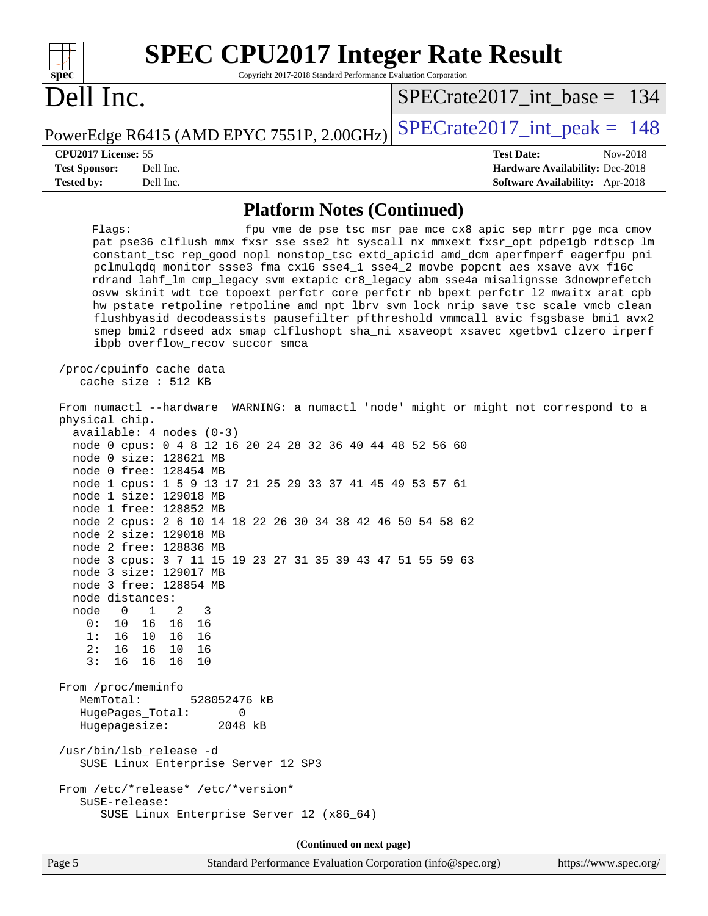| <b>SPEC CPU2017 Integer Rate Result</b>                                                                                                                                                                                                                                                                                                                                                                                                                                                                                                                                                                                                                                                                                                                                                                                                                                                                                                                                                                                                                            |                                                                    |
|--------------------------------------------------------------------------------------------------------------------------------------------------------------------------------------------------------------------------------------------------------------------------------------------------------------------------------------------------------------------------------------------------------------------------------------------------------------------------------------------------------------------------------------------------------------------------------------------------------------------------------------------------------------------------------------------------------------------------------------------------------------------------------------------------------------------------------------------------------------------------------------------------------------------------------------------------------------------------------------------------------------------------------------------------------------------|--------------------------------------------------------------------|
| spec <sup>®</sup><br>Copyright 2017-2018 Standard Performance Evaluation Corporation                                                                                                                                                                                                                                                                                                                                                                                                                                                                                                                                                                                                                                                                                                                                                                                                                                                                                                                                                                               |                                                                    |
| Dell Inc.                                                                                                                                                                                                                                                                                                                                                                                                                                                                                                                                                                                                                                                                                                                                                                                                                                                                                                                                                                                                                                                          | $SPECrate2017$ int base = 134                                      |
| PowerEdge R6415 (AMD EPYC 7551P, 2.00GHz)                                                                                                                                                                                                                                                                                                                                                                                                                                                                                                                                                                                                                                                                                                                                                                                                                                                                                                                                                                                                                          | $SPECrate2017\_int\_peak = 148$                                    |
| CPU2017 License: 55                                                                                                                                                                                                                                                                                                                                                                                                                                                                                                                                                                                                                                                                                                                                                                                                                                                                                                                                                                                                                                                | <b>Test Date:</b><br>Nov-2018                                      |
| <b>Test Sponsor:</b><br>Dell Inc.<br><b>Tested by:</b><br>Dell Inc.                                                                                                                                                                                                                                                                                                                                                                                                                                                                                                                                                                                                                                                                                                                                                                                                                                                                                                                                                                                                | Hardware Availability: Dec-2018<br>Software Availability: Apr-2018 |
|                                                                                                                                                                                                                                                                                                                                                                                                                                                                                                                                                                                                                                                                                                                                                                                                                                                                                                                                                                                                                                                                    |                                                                    |
| <b>Platform Notes (Continued)</b>                                                                                                                                                                                                                                                                                                                                                                                                                                                                                                                                                                                                                                                                                                                                                                                                                                                                                                                                                                                                                                  |                                                                    |
| Flags:<br>pat pse36 clflush mmx fxsr sse sse2 ht syscall nx mmxext fxsr_opt pdpe1gb rdtscp lm<br>constant_tsc rep_good nopl nonstop_tsc extd_apicid amd_dcm aperfmperf eagerfpu pni<br>pclmulqdq monitor ssse3 fma cx16 sse4_1 sse4_2 movbe popcnt aes xsave avx f16c<br>rdrand lahf_lm cmp_legacy svm extapic cr8_legacy abm sse4a misalignsse 3dnowprefetch<br>osvw skinit wdt tce topoext perfctr_core perfctr_nb bpext perfctr_12 mwaitx arat cpb<br>hw_pstate retpoline retpoline_amd npt lbrv svm_lock nrip_save tsc_scale vmcb_clean<br>flushbyasid decodeassists pausefilter pfthreshold vmmcall avic fsgsbase bmil avx2<br>smep bmi2 rdseed adx smap clflushopt sha_ni xsaveopt xsavec xgetbvl clzero irperf<br>ibpb overflow_recov succor smca<br>/proc/cpuinfo cache data<br>cache size : 512 KB                                                                                                                                                                                                                                                        | fpu vme de pse tsc msr pae mce cx8 apic sep mtrr pge mca cmov      |
| From numactl --hardware WARNING: a numactl 'node' might or might not correspond to a<br>physical chip.<br>$available: 4 nodes (0-3)$<br>node 0 cpus: 0 4 8 12 16 20 24 28 32 36 40 44 48 52 56 60<br>node 0 size: 128621 MB<br>node 0 free: 128454 MB<br>node 1 cpus: 1 5 9 13 17 21 25 29 33 37 41 45 49 53 57 61<br>node 1 size: 129018 MB<br>node 1 free: 128852 MB<br>node 2 cpus: 2 6 10 14 18 22 26 30 34 38 42 46 50 54 58 62<br>node 2 size: 129018 MB<br>node 2 free: 128836 MB<br>node 3 cpus: 3 7 11 15 19 23 27 31 35 39 43 47 51 55 59 63<br>node 3 size: 129017 MB<br>node 3 free: 128854 MB<br>node distances:<br>1<br>node<br>$\overline{0}$<br>2<br>3<br>0:<br>10<br>16<br>16<br>16<br>1:<br>16<br>10 16<br>16<br>2:<br>16<br>16 10<br>16<br>3:<br>16<br>16 16<br>10<br>From /proc/meminfo<br>MemTotal:<br>528052476 kB<br>HugePages_Total:<br>0<br>Hugepagesize:<br>2048 kB<br>/usr/bin/lsb_release -d<br>SUSE Linux Enterprise Server 12 SP3<br>From /etc/*release* /etc/*version*<br>SuSE-release:<br>SUSE Linux Enterprise Server 12 (x86_64) |                                                                    |
| (Continued on next page)                                                                                                                                                                                                                                                                                                                                                                                                                                                                                                                                                                                                                                                                                                                                                                                                                                                                                                                                                                                                                                           |                                                                    |
| Page 5<br>Standard Performance Evaluation Corporation (info@spec.org)                                                                                                                                                                                                                                                                                                                                                                                                                                                                                                                                                                                                                                                                                                                                                                                                                                                                                                                                                                                              | https://www.spec.org/                                              |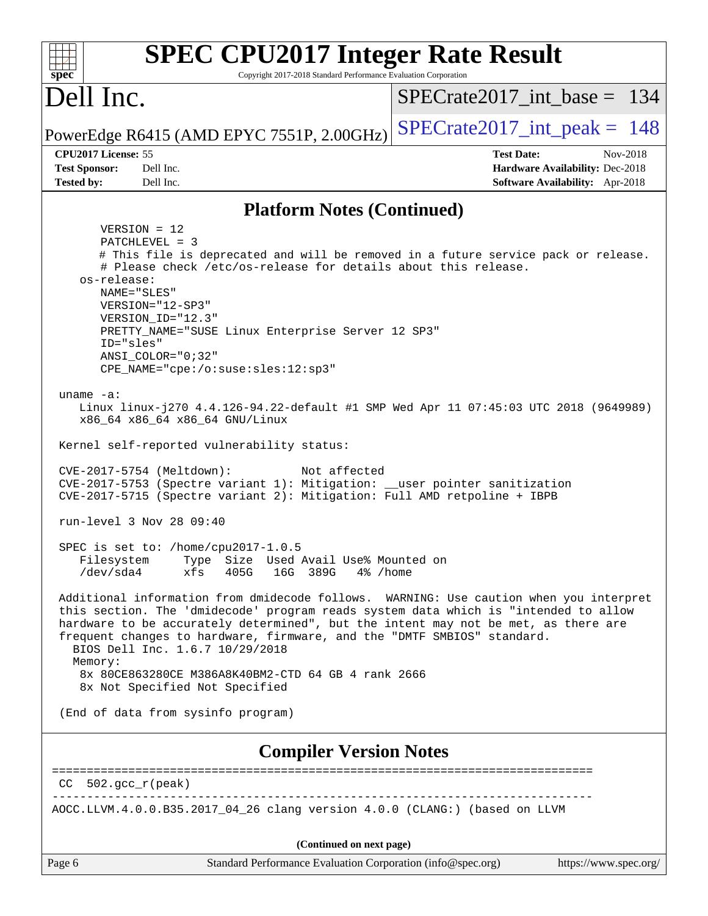| <b>SPEC CPU2017 Integer Rate Result</b><br>Copyright 2017-2018 Standard Performance Evaluation Corporation<br>$spec^*$                                                                                                                                                                                                                                                                                                                                                                                                                                                                                                                                                                                                                                                                                                                                                                                                                                                                                                                                                                                                                                                    |                                                                  |  |  |  |  |  |
|---------------------------------------------------------------------------------------------------------------------------------------------------------------------------------------------------------------------------------------------------------------------------------------------------------------------------------------------------------------------------------------------------------------------------------------------------------------------------------------------------------------------------------------------------------------------------------------------------------------------------------------------------------------------------------------------------------------------------------------------------------------------------------------------------------------------------------------------------------------------------------------------------------------------------------------------------------------------------------------------------------------------------------------------------------------------------------------------------------------------------------------------------------------------------|------------------------------------------------------------------|--|--|--|--|--|
| Dell Inc.                                                                                                                                                                                                                                                                                                                                                                                                                                                                                                                                                                                                                                                                                                                                                                                                                                                                                                                                                                                                                                                                                                                                                                 | $SPECrate2017$ int base = 134                                    |  |  |  |  |  |
| PowerEdge R6415 (AMD EPYC 7551P, 2.00GHz)                                                                                                                                                                                                                                                                                                                                                                                                                                                                                                                                                                                                                                                                                                                                                                                                                                                                                                                                                                                                                                                                                                                                 | $SPECrate2017\_int\_peak = 148$                                  |  |  |  |  |  |
| CPU2017 License: 55<br>Dell Inc.<br><b>Test Sponsor:</b>                                                                                                                                                                                                                                                                                                                                                                                                                                                                                                                                                                                                                                                                                                                                                                                                                                                                                                                                                                                                                                                                                                                  | <b>Test Date:</b><br>Nov-2018<br>Hardware Availability: Dec-2018 |  |  |  |  |  |
| <b>Tested by:</b><br>Dell Inc.                                                                                                                                                                                                                                                                                                                                                                                                                                                                                                                                                                                                                                                                                                                                                                                                                                                                                                                                                                                                                                                                                                                                            | <b>Software Availability:</b> Apr-2018                           |  |  |  |  |  |
| <b>Platform Notes (Continued)</b>                                                                                                                                                                                                                                                                                                                                                                                                                                                                                                                                                                                                                                                                                                                                                                                                                                                                                                                                                                                                                                                                                                                                         |                                                                  |  |  |  |  |  |
| $VERSION = 12$<br>PATCHLEVEL = 3<br># This file is deprecated and will be removed in a future service pack or release.<br># Please check /etc/os-release for details about this release.<br>os-release:<br>NAME="SLES"<br>VERSION="12-SP3"<br>VERSION_ID="12.3"<br>PRETTY_NAME="SUSE Linux Enterprise Server 12 SP3"<br>ID="sles"<br>$ANSI$ _COLOR=" $0:32$ "<br>CPE_NAME="cpe:/o:suse:sles:12:sp3"<br>uname $-a$ :<br>Linux linux-j270 4.4.126-94.22-default #1 SMP Wed Apr 11 07:45:03 UTC 2018 (9649989)<br>x86_64 x86_64 x86_64 GNU/Linux<br>Kernel self-reported vulnerability status:<br>CVE-2017-5754 (Meltdown):<br>Not affected<br>CVE-2017-5753 (Spectre variant 1): Mitigation: __user pointer sanitization<br>CVE-2017-5715 (Spectre variant 2): Mitigation: Full AMD retpoline + IBPB<br>run-level 3 Nov 28 09:40<br>SPEC is set to: /home/cpu2017-1.0.5<br>Type Size Used Avail Use% Mounted on<br>Filesystem<br>$/\text{dev/sda4}$<br>xfs<br>405G<br>16G 389G<br>4% /home<br>Additional information from dmidecode follows. WARNING: Use caution when you interpret<br>this section. The 'dmidecode' program reads system data which is "intended to allow |                                                                  |  |  |  |  |  |
| hardware to be accurately determined", but the intent may not be met, as there are<br>frequent changes to hardware, firmware, and the "DMTF SMBIOS" standard.<br>BIOS Dell Inc. 1.6.7 10/29/2018                                                                                                                                                                                                                                                                                                                                                                                                                                                                                                                                                                                                                                                                                                                                                                                                                                                                                                                                                                          |                                                                  |  |  |  |  |  |
| Memory:<br>8x 80CE863280CE M386A8K40BM2-CTD 64 GB 4 rank 2666<br>8x Not Specified Not Specified                                                                                                                                                                                                                                                                                                                                                                                                                                                                                                                                                                                                                                                                                                                                                                                                                                                                                                                                                                                                                                                                           |                                                                  |  |  |  |  |  |
| (End of data from sysinfo program)                                                                                                                                                                                                                                                                                                                                                                                                                                                                                                                                                                                                                                                                                                                                                                                                                                                                                                                                                                                                                                                                                                                                        |                                                                  |  |  |  |  |  |
| <b>Compiler Version Notes</b>                                                                                                                                                                                                                                                                                                                                                                                                                                                                                                                                                                                                                                                                                                                                                                                                                                                                                                                                                                                                                                                                                                                                             |                                                                  |  |  |  |  |  |
| $CC$ 502.gcc $r$ (peak)                                                                                                                                                                                                                                                                                                                                                                                                                                                                                                                                                                                                                                                                                                                                                                                                                                                                                                                                                                                                                                                                                                                                                   |                                                                  |  |  |  |  |  |
| AOCC.LLVM.4.0.0.B35.2017_04_26 clang version 4.0.0 (CLANG:) (based on LLVM                                                                                                                                                                                                                                                                                                                                                                                                                                                                                                                                                                                                                                                                                                                                                                                                                                                                                                                                                                                                                                                                                                |                                                                  |  |  |  |  |  |
| (Continued on next page)                                                                                                                                                                                                                                                                                                                                                                                                                                                                                                                                                                                                                                                                                                                                                                                                                                                                                                                                                                                                                                                                                                                                                  |                                                                  |  |  |  |  |  |
| Page 6<br>Standard Performance Evaluation Corporation (info@spec.org)                                                                                                                                                                                                                                                                                                                                                                                                                                                                                                                                                                                                                                                                                                                                                                                                                                                                                                                                                                                                                                                                                                     | https://www.spec.org/                                            |  |  |  |  |  |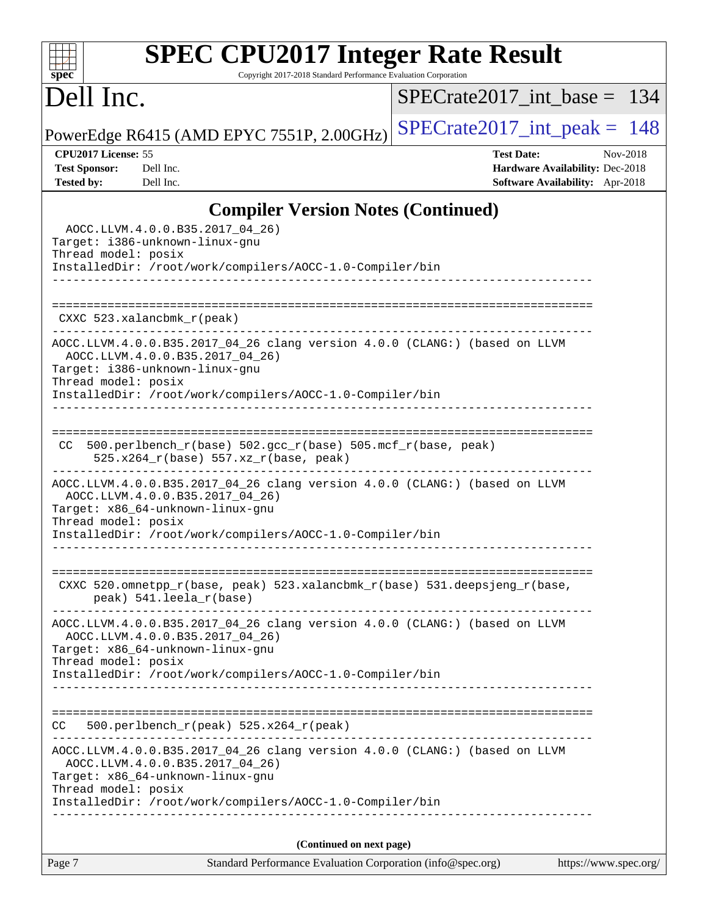### **[SPEC CPU2017 Integer Rate Result](http://www.spec.org/auto/cpu2017/Docs/result-fields.html#SPECCPU2017IntegerRateResult)** Copyright 2017-2018 Standard Performance Evaluation Corporation

# Dell Inc.

**[spec](http://www.spec.org/)**

 $+\ +$ 

[SPECrate2017\\_int\\_base =](http://www.spec.org/auto/cpu2017/Docs/result-fields.html#SPECrate2017intbase) 134

PowerEdge R6415 (AMD EPYC 7551P, 2.00GHz) [SPECrate2017\\_int\\_peak =](http://www.spec.org/auto/cpu2017/Docs/result-fields.html#SPECrate2017intpeak)  $148$ 

**[CPU2017 License:](http://www.spec.org/auto/cpu2017/Docs/result-fields.html#CPU2017License)** 55 **[Test Date:](http://www.spec.org/auto/cpu2017/Docs/result-fields.html#TestDate)** Nov-2018 **[Test Sponsor:](http://www.spec.org/auto/cpu2017/Docs/result-fields.html#TestSponsor)** Dell Inc. **[Hardware Availability:](http://www.spec.org/auto/cpu2017/Docs/result-fields.html#HardwareAvailability)** Dec-2018 **[Tested by:](http://www.spec.org/auto/cpu2017/Docs/result-fields.html#Testedby)** Dell Inc. **[Software Availability:](http://www.spec.org/auto/cpu2017/Docs/result-fields.html#SoftwareAvailability)** Apr-2018

### **[Compiler Version Notes \(Continued\)](http://www.spec.org/auto/cpu2017/Docs/result-fields.html#CompilerVersionNotes)**

| Standard Performance Evaluation Corporation (info@spec.org)<br>https://www.spec.org/<br>Page 7                                                                                                                                     |  |
|------------------------------------------------------------------------------------------------------------------------------------------------------------------------------------------------------------------------------------|--|
| (Continued on next page)                                                                                                                                                                                                           |  |
| Thread model: posix<br>InstalledDir: /root/work/compilers/AOCC-1.0-Compiler/bin                                                                                                                                                    |  |
| AOCC.LLVM.4.0.0.B35.2017_04_26 clang version 4.0.0 (CLANG:) (based on LLVM<br>AOCC.LLVM.4.0.0.B35.2017_04_26)<br>Target: x86_64-unknown-linux-gnu                                                                                  |  |
| 500.perlbench_r(peak) 525.x264_r(peak)<br>CC                                                                                                                                                                                       |  |
| InstalledDir: /root/work/compilers/AOCC-1.0-Compiler/bin                                                                                                                                                                           |  |
| AOCC.LLVM.4.0.0.B35.2017_04_26 clang version 4.0.0 (CLANG:) (based on LLVM<br>AOCC.LLVM.4.0.0.B35.2017_04_26)<br>Target: x86_64-unknown-linux-gnu<br>Thread model: posix                                                           |  |
| CXXC 520.omnetpp_r(base, peak) 523.xalancbmk_r(base) 531.deepsjeng_r(base,<br>peak) 541.leela_r(base)<br>____________________________                                                                                              |  |
| Target: x86_64-unknown-linux-gnu<br>Thread model: posix<br>InstalledDir: /root/work/compilers/AOCC-1.0-Compiler/bin                                                                                                                |  |
| AOCC.LLVM.4.0.0.B35.2017_04_26 clang version 4.0.0 (CLANG:) (based on LLVM<br>AOCC.LLVM.4.0.0.B35.2017_04_26)                                                                                                                      |  |
| CC 500.perlbench_r(base) 502.gcc_r(base) 505.mcf_r(base, peak)<br>525.x264_r(base) 557.xz_r(base, peak)                                                                                                                            |  |
| AOCC.LLVM.4.0.0.B35.2017_04_26 clang version 4.0.0 (CLANG:) (based on LLVM<br>AOCC.LLVM.4.0.0.B35.2017_04_26)<br>Target: i386-unknown-linux-gnu<br>Thread model: posix<br>InstalledDir: /root/work/compilers/AOCC-1.0-Compiler/bin |  |
| $CXXC$ 523.xalancbmk $_r$ (peak)                                                                                                                                                                                                   |  |
| InstalledDir: /root/work/compilers/AOCC-1.0-Compiler/bin                                                                                                                                                                           |  |
| AOCC.LLVM.4.0.0.B35.2017_04_26)<br>Target: i386-unknown-linux-gnu<br>Thread model: posix                                                                                                                                           |  |
|                                                                                                                                                                                                                                    |  |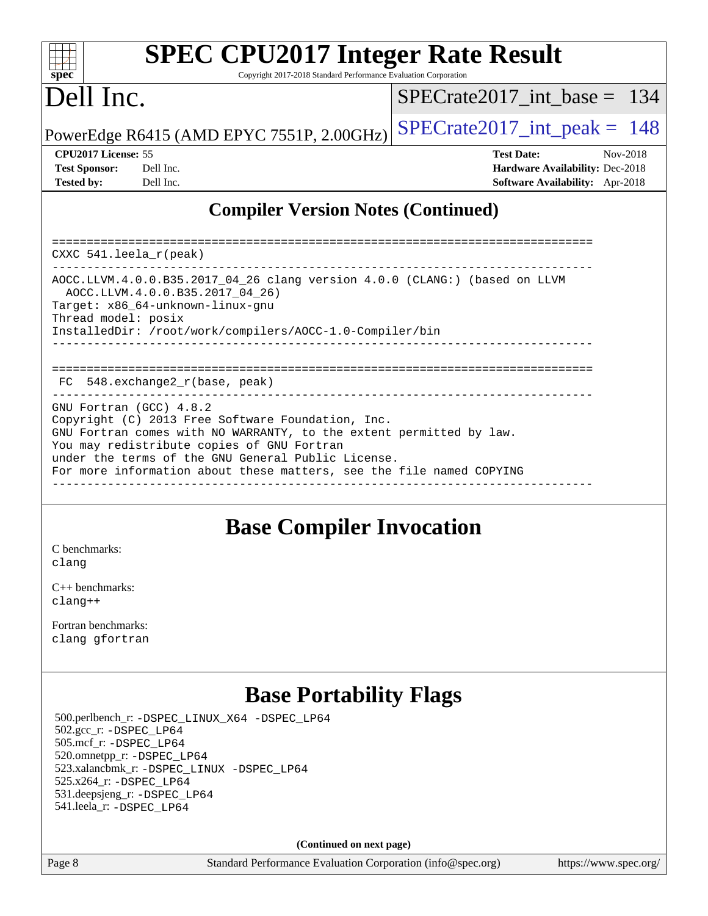| sn<br>æ<br>C |  |  |  |  |  |
|--------------|--|--|--|--|--|

# **[SPEC CPU2017 Integer Rate Result](http://www.spec.org/auto/cpu2017/Docs/result-fields.html#SPECCPU2017IntegerRateResult)**

Copyright 2017-2018 Standard Performance Evaluation Corporation

# Dell Inc.

[SPECrate2017\\_int\\_base =](http://www.spec.org/auto/cpu2017/Docs/result-fields.html#SPECrate2017intbase) 134

PowerEdge R6415 (AMD EPYC 7551P, 2.00GHz) SPECrate  $2017$  int peak = 148

| <b>Test Sponsor:</b> | Dell Inc |
|----------------------|----------|
| <b>Tested by:</b>    | Dell Inc |

**[CPU2017 License:](http://www.spec.org/auto/cpu2017/Docs/result-fields.html#CPU2017License)** 55 **[Test Date:](http://www.spec.org/auto/cpu2017/Docs/result-fields.html#TestDate)** Nov-2018

**[Test Sponsor:](http://www.spec.org/auto/cpu2017/Docs/result-fields.html#TestSponsor)** Decree Sponsor: Decree Sponsor: **[Hardware Availability:](http://www.spec.org/auto/cpu2017/Docs/result-fields.html#HardwareAvailability)** Dec-2018 **[Software Availability:](http://www.spec.org/auto/cpu2017/Docs/result-fields.html#SoftwareAvailability)** Apr-2018

### **[Compiler Version Notes \(Continued\)](http://www.spec.org/auto/cpu2017/Docs/result-fields.html#CompilerVersionNotes)**

============================================================================== CXXC 541.leela\_r(peak) ------------------------------------------------------------------------------ AOCC.LLVM.4.0.0.B35.2017\_04\_26 clang version 4.0.0 (CLANG:) (based on LLVM AOCC.LLVM.4.0.0.B35.2017\_04\_26) Target: x86\_64-unknown-linux-gnu Thread model: posix InstalledDir: /root/work/compilers/AOCC-1.0-Compiler/bin ------------------------------------------------------------------------------ ============================================================================== FC 548.exchange2\_r(base, peak) ------------------------------------------------------------------------------ GNU Fortran (GCC) 4.8.2 Copyright (C) 2013 Free Software Foundation, Inc. GNU Fortran comes with NO WARRANTY, to the extent permitted by law. You may redistribute copies of GNU Fortran under the terms of the GNU General Public License. For more information about these matters, see the file named COPYING ------------------------------------------------------------------------------

### **[Base Compiler Invocation](http://www.spec.org/auto/cpu2017/Docs/result-fields.html#BaseCompilerInvocation)**

[C benchmarks](http://www.spec.org/auto/cpu2017/Docs/result-fields.html#Cbenchmarks): [clang](http://www.spec.org/cpu2017/results/res2018q4/cpu2017-20181210-10166.flags.html#user_CCbase_Fclang3_a68b77bfed473bd9cdd22529af008e8306c2e3948617c8991604c1a2000ee4a73ef90dd8bc793e105fe4165a625d26dacbda4708d828ad19048918c071b363ec)

[C++ benchmarks:](http://www.spec.org/auto/cpu2017/Docs/result-fields.html#CXXbenchmarks) [clang++](http://www.spec.org/cpu2017/results/res2018q4/cpu2017-20181210-10166.flags.html#user_CXXbase_Fclang3_57a48582e5be507d19b2527b3e7d4f85d9b8669ffc9a8a0dbb9bcf949a918a58bbab411e0c4d14a3922022a3e425a90db94042683824c1806feff4324ca1000d)

[Fortran benchmarks](http://www.spec.org/auto/cpu2017/Docs/result-fields.html#Fortranbenchmarks): [clang](http://www.spec.org/cpu2017/results/res2018q4/cpu2017-20181210-10166.flags.html#user_FCbase_Fclang3_a68b77bfed473bd9cdd22529af008e8306c2e3948617c8991604c1a2000ee4a73ef90dd8bc793e105fe4165a625d26dacbda4708d828ad19048918c071b363ec) [gfortran](http://www.spec.org/cpu2017/results/res2018q4/cpu2017-20181210-10166.flags.html#user_FCbase_aocc-gfortran_128c91a56d61ddb07404721e65b8f9498c31a443dacbd3b7f212891090eca86e2d099b520f75b99e9e8ac4fdec01f4d15f0b65e47123ec4c42b0759045731a1f)

# **[Base Portability Flags](http://www.spec.org/auto/cpu2017/Docs/result-fields.html#BasePortabilityFlags)**

 500.perlbench\_r: [-DSPEC\\_LINUX\\_X64](http://www.spec.org/cpu2017/results/res2018q4/cpu2017-20181210-10166.flags.html#b500.perlbench_r_basePORTABILITY_DSPEC_LINUX_X64) [-DSPEC\\_LP64](http://www.spec.org/cpu2017/results/res2018q4/cpu2017-20181210-10166.flags.html#b500.perlbench_r_baseEXTRA_PORTABILITY_DSPEC_LP64) 502.gcc\_r: [-DSPEC\\_LP64](http://www.spec.org/cpu2017/results/res2018q4/cpu2017-20181210-10166.flags.html#suite_baseEXTRA_PORTABILITY502_gcc_r_DSPEC_LP64) 505.mcf\_r: [-DSPEC\\_LP64](http://www.spec.org/cpu2017/results/res2018q4/cpu2017-20181210-10166.flags.html#suite_baseEXTRA_PORTABILITY505_mcf_r_DSPEC_LP64) 520.omnetpp\_r: [-DSPEC\\_LP64](http://www.spec.org/cpu2017/results/res2018q4/cpu2017-20181210-10166.flags.html#suite_baseEXTRA_PORTABILITY520_omnetpp_r_DSPEC_LP64) 523.xalancbmk\_r: [-DSPEC\\_LINUX](http://www.spec.org/cpu2017/results/res2018q4/cpu2017-20181210-10166.flags.html#b523.xalancbmk_r_basePORTABILITY_DSPEC_LINUX) [-DSPEC\\_LP64](http://www.spec.org/cpu2017/results/res2018q4/cpu2017-20181210-10166.flags.html#suite_baseEXTRA_PORTABILITY523_xalancbmk_r_DSPEC_LP64) 525.x264\_r: [-DSPEC\\_LP64](http://www.spec.org/cpu2017/results/res2018q4/cpu2017-20181210-10166.flags.html#suite_baseEXTRA_PORTABILITY525_x264_r_DSPEC_LP64) 531.deepsjeng\_r: [-DSPEC\\_LP64](http://www.spec.org/cpu2017/results/res2018q4/cpu2017-20181210-10166.flags.html#suite_baseEXTRA_PORTABILITY531_deepsjeng_r_DSPEC_LP64) 541.leela\_r: [-DSPEC\\_LP64](http://www.spec.org/cpu2017/results/res2018q4/cpu2017-20181210-10166.flags.html#suite_baseEXTRA_PORTABILITY541_leela_r_DSPEC_LP64)

**(Continued on next page)**

Page 8 Standard Performance Evaluation Corporation [\(info@spec.org\)](mailto:info@spec.org) <https://www.spec.org/>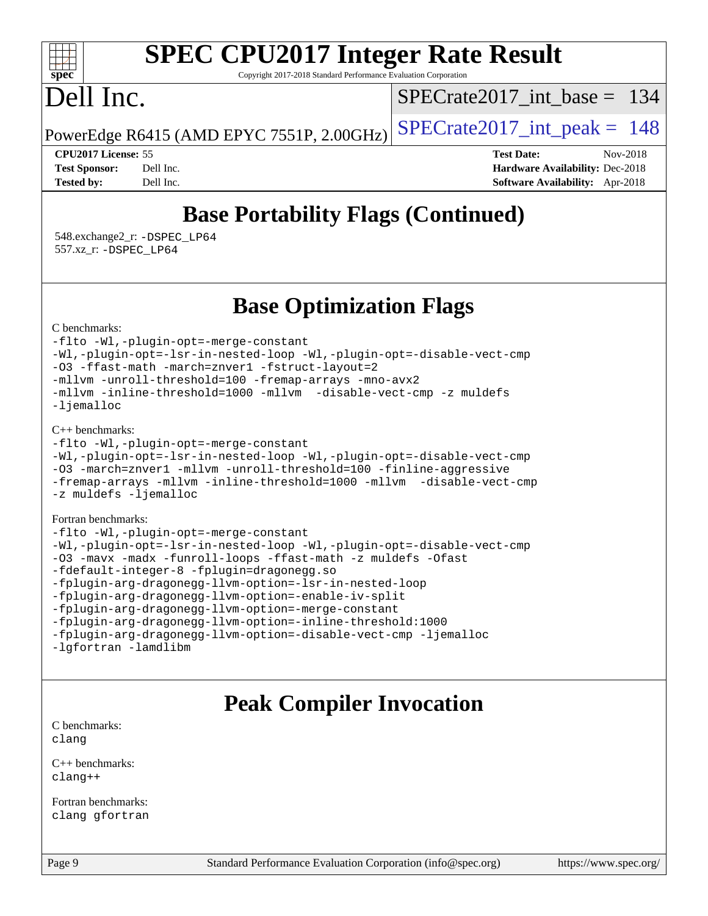#### $\pm\pm\tau$ **[spec](http://www.spec.org/)**

# **[SPEC CPU2017 Integer Rate Result](http://www.spec.org/auto/cpu2017/Docs/result-fields.html#SPECCPU2017IntegerRateResult)**

Copyright 2017-2018 Standard Performance Evaluation Corporation

# Dell Inc.

[SPECrate2017\\_int\\_base =](http://www.spec.org/auto/cpu2017/Docs/result-fields.html#SPECrate2017intbase) 134

PowerEdge R6415 (AMD EPYC 7551P, 2.00GHz)  $\left|$  [SPECrate2017\\_int\\_peak =](http://www.spec.org/auto/cpu2017/Docs/result-fields.html#SPECrate2017intpeak) 148

**[CPU2017 License:](http://www.spec.org/auto/cpu2017/Docs/result-fields.html#CPU2017License)** 55 **[Test Date:](http://www.spec.org/auto/cpu2017/Docs/result-fields.html#TestDate)** Nov-2018 **[Test Sponsor:](http://www.spec.org/auto/cpu2017/Docs/result-fields.html#TestSponsor)** Dell Inc. **[Hardware Availability:](http://www.spec.org/auto/cpu2017/Docs/result-fields.html#HardwareAvailability)** Dec-2018 **[Tested by:](http://www.spec.org/auto/cpu2017/Docs/result-fields.html#Testedby)** Dell Inc. **[Software Availability:](http://www.spec.org/auto/cpu2017/Docs/result-fields.html#SoftwareAvailability)** Apr-2018

# **[Base Portability Flags \(Continued\)](http://www.spec.org/auto/cpu2017/Docs/result-fields.html#BasePortabilityFlags)**

 548.exchange2\_r: [-DSPEC\\_LP64](http://www.spec.org/cpu2017/results/res2018q4/cpu2017-20181210-10166.flags.html#suite_baseEXTRA_PORTABILITY548_exchange2_r_DSPEC_LP64) 557.xz\_r: [-DSPEC\\_LP64](http://www.spec.org/cpu2017/results/res2018q4/cpu2017-20181210-10166.flags.html#suite_baseEXTRA_PORTABILITY557_xz_r_DSPEC_LP64)

## **[Base Optimization Flags](http://www.spec.org/auto/cpu2017/Docs/result-fields.html#BaseOptimizationFlags)**

[C benchmarks](http://www.spec.org/auto/cpu2017/Docs/result-fields.html#Cbenchmarks):

[-flto](http://www.spec.org/cpu2017/results/res2018q4/cpu2017-20181210-10166.flags.html#user_CCbase_lto) [-Wl,-plugin-opt=-merge-constant](http://www.spec.org/cpu2017/results/res2018q4/cpu2017-20181210-10166.flags.html#user_CCbase_F-merge-constant_1d79771b5442061d9c8e05556c6b0c655e6c9e66f8c6936b0129d434b6acd2b1cf1b7cd2540d1570ff636111b08a6bc36e2e61fc34531f8ef7c1a34c57be1dbb) [-Wl,-plugin-opt=-lsr-in-nested-loop](http://www.spec.org/cpu2017/results/res2018q4/cpu2017-20181210-10166.flags.html#user_CCbase_lsr-in-nested-loop_1cff93fd95162f5e77640b5271e8bed680fb62b4a8d96fb8ab217ff3244646f1fbb342e31af83c263403bbf5249c7dc7732d5c86c3eab4cc8d32dcb7a6f33ca0) [-Wl,-plugin-opt=-disable-vect-cmp](http://www.spec.org/cpu2017/results/res2018q4/cpu2017-20181210-10166.flags.html#user_CCbase_disable-vect-cmp_1056b9a09b8ddc126e023b5f99ae33179ef568835465af9b7adeacf4b6480ff575c8aee439265bcfbcbf086f33f2fa5cca2bc4cf52b64c0cd2e10f6503cba02d) [-O3](http://www.spec.org/cpu2017/results/res2018q4/cpu2017-20181210-10166.flags.html#user_CCbase_F-O3) [-ffast-math](http://www.spec.org/cpu2017/results/res2018q4/cpu2017-20181210-10166.flags.html#user_CCbase_F-aocc-ffast-math_78dd175de6534c2005829757b9b0f2878e57b067cce6f7c443b2250ac68890960e2e1b320ca04b81ff7c62c6f87870ed05f06baf7875eea2990d38e3b73c71f1) [-march=znver1](http://www.spec.org/cpu2017/results/res2018q4/cpu2017-20181210-10166.flags.html#user_CCbase_F-march) [-fstruct-layout=2](http://www.spec.org/cpu2017/results/res2018q4/cpu2017-20181210-10166.flags.html#user_CCbase_F-fstruct-layout_a05ec02e17cdf7fe0c3950a6b005251b2b1e5e67af2b5298cf72714730c3d59ba290e75546b10aa22dac074c15ceaca36ae22c62cb51bcb2fbdc9dc4e7e222c4) [-mllvm -unroll-threshold=100](http://www.spec.org/cpu2017/results/res2018q4/cpu2017-20181210-10166.flags.html#user_CCbase_F-unroll-threshold_2755d0c78138845d361fa1543e3a063fffa198df9b3edf0cfb856bbc88a81e1769b12ac7a550c5d35197be55360db1a3f95a8d1304df999456cabf5120c45168) [-fremap-arrays](http://www.spec.org/cpu2017/results/res2018q4/cpu2017-20181210-10166.flags.html#user_CCbase_F-fremap-arrays) [-mno-avx2](http://www.spec.org/cpu2017/results/res2018q4/cpu2017-20181210-10166.flags.html#user_CCbase_F-mno-avx2) [-mllvm -inline-threshold=1000](http://www.spec.org/cpu2017/results/res2018q4/cpu2017-20181210-10166.flags.html#user_CCbase_inline-threshold_b7832241b0a6397e4ecdbaf0eb7defdc10f885c2a282fa3240fdc99844d543fda39cf8a4a9dccf68cf19b5438ac3b455264f478df15da0f4988afa40d8243bab) [-mllvm -disable-vect-cmp](http://www.spec.org/cpu2017/results/res2018q4/cpu2017-20181210-10166.flags.html#user_CCbase_disable-vect-cmp_d995c9eb800469498c6893dc847c54c903d59847b18cb2ac22011b9af7010c96d2d48d3c6b41246fe86945001509aa4dc528afb61cb238fd3b256a31781ea0cf) [-z muldefs](http://www.spec.org/cpu2017/results/res2018q4/cpu2017-20181210-10166.flags.html#user_CCbase_F-z-muldefs) [-ljemalloc](http://www.spec.org/cpu2017/results/res2018q4/cpu2017-20181210-10166.flags.html#user_CCbase_jemalloc-lib_d1249b907c500fa1c0672f44f562e3d0f79738ae9e3c4a9c376d49f265a04b9c99b167ecedbf6711b3085be911c67ff61f150a17b3472be731631ba4d0471706)

[C++ benchmarks:](http://www.spec.org/auto/cpu2017/Docs/result-fields.html#CXXbenchmarks)

```
-flto -Wl,-plugin-opt=-merge-constant
-Wl,-plugin-opt=-lsr-in-nested-loop -Wl,-plugin-opt=-disable-vect-cmp
-O3 -march=znver1 -mllvm -unroll-threshold=100 -finline-aggressive
-fremap-arrays -mllvm -inline-threshold=1000 -mllvm -disable-vect-cmp
-z muldefs -ljemalloc
```
[Fortran benchmarks](http://www.spec.org/auto/cpu2017/Docs/result-fields.html#Fortranbenchmarks):

```
-flto -Wl,-plugin-opt=-merge-constant
-Wl,-plugin-opt=-lsr-in-nested-loop -Wl,-plugin-opt=-disable-vect-cmp
-O3 -mavx -madx -funroll-loops -ffast-math -z muldefs -Ofast
-fdefault-integer-8 -fplugin=dragonegg.so
-fplugin-arg-dragonegg-llvm-option=-lsr-in-nested-loop
-fplugin-arg-dragonegg-llvm-option=-enable-iv-split
-fplugin-arg-dragonegg-llvm-option=-merge-constant
-fplugin-arg-dragonegg-llvm-option=-inline-threshold:1000
-fplugin-arg-dragonegg-llvm-option=-disable-vect-cmp -ljemalloc
-lgfortran -lamdlibm
```
## **[Peak Compiler Invocation](http://www.spec.org/auto/cpu2017/Docs/result-fields.html#PeakCompilerInvocation)**

[C benchmarks](http://www.spec.org/auto/cpu2017/Docs/result-fields.html#Cbenchmarks): [clang](http://www.spec.org/cpu2017/results/res2018q4/cpu2017-20181210-10166.flags.html#user_CCpeak_Fclang3_a68b77bfed473bd9cdd22529af008e8306c2e3948617c8991604c1a2000ee4a73ef90dd8bc793e105fe4165a625d26dacbda4708d828ad19048918c071b363ec)

[C++ benchmarks:](http://www.spec.org/auto/cpu2017/Docs/result-fields.html#CXXbenchmarks) [clang++](http://www.spec.org/cpu2017/results/res2018q4/cpu2017-20181210-10166.flags.html#user_CXXpeak_Fclang3_57a48582e5be507d19b2527b3e7d4f85d9b8669ffc9a8a0dbb9bcf949a918a58bbab411e0c4d14a3922022a3e425a90db94042683824c1806feff4324ca1000d)

[Fortran benchmarks](http://www.spec.org/auto/cpu2017/Docs/result-fields.html#Fortranbenchmarks): [clang](http://www.spec.org/cpu2017/results/res2018q4/cpu2017-20181210-10166.flags.html#user_FCpeak_Fclang3_a68b77bfed473bd9cdd22529af008e8306c2e3948617c8991604c1a2000ee4a73ef90dd8bc793e105fe4165a625d26dacbda4708d828ad19048918c071b363ec) [gfortran](http://www.spec.org/cpu2017/results/res2018q4/cpu2017-20181210-10166.flags.html#user_FCpeak_aocc-gfortran_128c91a56d61ddb07404721e65b8f9498c31a443dacbd3b7f212891090eca86e2d099b520f75b99e9e8ac4fdec01f4d15f0b65e47123ec4c42b0759045731a1f)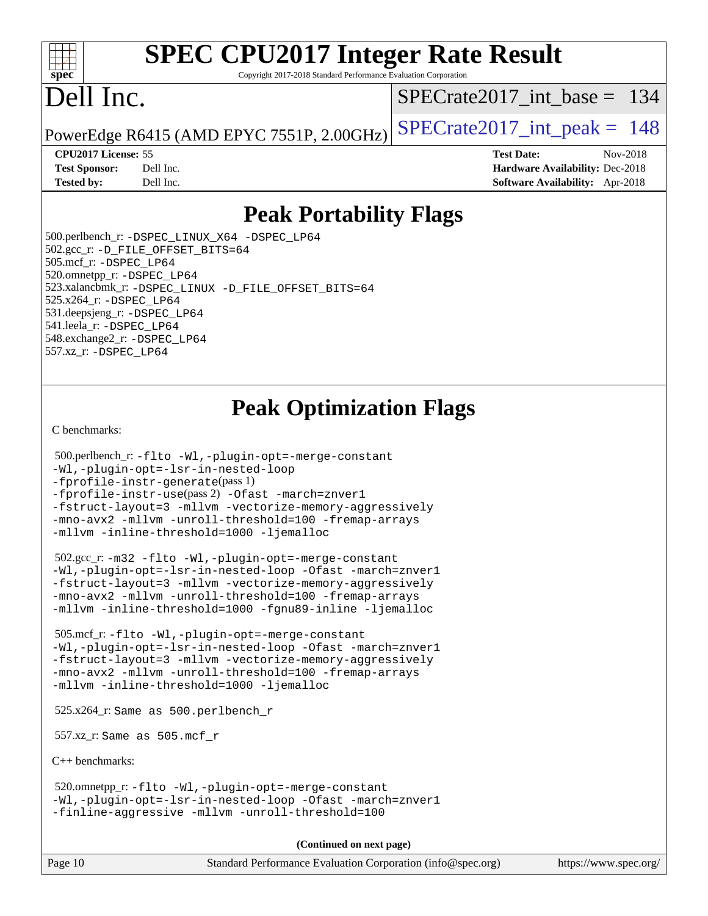#### $+\ +$ **[spec](http://www.spec.org/)**

# **[SPEC CPU2017 Integer Rate Result](http://www.spec.org/auto/cpu2017/Docs/result-fields.html#SPECCPU2017IntegerRateResult)**

Copyright 2017-2018 Standard Performance Evaluation Corporation

# Dell Inc.

[SPECrate2017\\_int\\_base =](http://www.spec.org/auto/cpu2017/Docs/result-fields.html#SPECrate2017intbase) 134

PowerEdge R6415 (AMD EPYC 7551P, 2.00GHz)  $\text{SPECrate}$  2017\_int\_peak = 148

**[CPU2017 License:](http://www.spec.org/auto/cpu2017/Docs/result-fields.html#CPU2017License)** 55 **[Test Date:](http://www.spec.org/auto/cpu2017/Docs/result-fields.html#TestDate)** Nov-2018 **[Test Sponsor:](http://www.spec.org/auto/cpu2017/Docs/result-fields.html#TestSponsor)** Dell Inc. **[Hardware Availability:](http://www.spec.org/auto/cpu2017/Docs/result-fields.html#HardwareAvailability)** Dec-2018 **[Tested by:](http://www.spec.org/auto/cpu2017/Docs/result-fields.html#Testedby)** Dell Inc. **[Software Availability:](http://www.spec.org/auto/cpu2017/Docs/result-fields.html#SoftwareAvailability)** Apr-2018

## **[Peak Portability Flags](http://www.spec.org/auto/cpu2017/Docs/result-fields.html#PeakPortabilityFlags)**

 500.perlbench\_r: [-DSPEC\\_LINUX\\_X64](http://www.spec.org/cpu2017/results/res2018q4/cpu2017-20181210-10166.flags.html#b500.perlbench_r_peakPORTABILITY_DSPEC_LINUX_X64) [-DSPEC\\_LP64](http://www.spec.org/cpu2017/results/res2018q4/cpu2017-20181210-10166.flags.html#b500.perlbench_r_peakEXTRA_PORTABILITY_DSPEC_LP64) 502.gcc\_r: [-D\\_FILE\\_OFFSET\\_BITS=64](http://www.spec.org/cpu2017/results/res2018q4/cpu2017-20181210-10166.flags.html#user_peakEXTRA_PORTABILITY502_gcc_r_F-D_FILE_OFFSET_BITS_5ae949a99b284ddf4e95728d47cb0843d81b2eb0e18bdfe74bbf0f61d0b064f4bda2f10ea5eb90e1dcab0e84dbc592acfc5018bc955c18609f94ddb8d550002c) 505.mcf\_r: [-DSPEC\\_LP64](http://www.spec.org/cpu2017/results/res2018q4/cpu2017-20181210-10166.flags.html#suite_peakEXTRA_PORTABILITY505_mcf_r_DSPEC_LP64) 520.omnetpp\_r: [-DSPEC\\_LP64](http://www.spec.org/cpu2017/results/res2018q4/cpu2017-20181210-10166.flags.html#suite_peakEXTRA_PORTABILITY520_omnetpp_r_DSPEC_LP64) 523.xalancbmk\_r: [-DSPEC\\_LINUX](http://www.spec.org/cpu2017/results/res2018q4/cpu2017-20181210-10166.flags.html#b523.xalancbmk_r_peakPORTABILITY_DSPEC_LINUX) [-D\\_FILE\\_OFFSET\\_BITS=64](http://www.spec.org/cpu2017/results/res2018q4/cpu2017-20181210-10166.flags.html#user_peakEXTRA_PORTABILITY523_xalancbmk_r_F-D_FILE_OFFSET_BITS_5ae949a99b284ddf4e95728d47cb0843d81b2eb0e18bdfe74bbf0f61d0b064f4bda2f10ea5eb90e1dcab0e84dbc592acfc5018bc955c18609f94ddb8d550002c) 525.x264\_r: [-DSPEC\\_LP64](http://www.spec.org/cpu2017/results/res2018q4/cpu2017-20181210-10166.flags.html#suite_peakEXTRA_PORTABILITY525_x264_r_DSPEC_LP64) 531.deepsjeng\_r: [-DSPEC\\_LP64](http://www.spec.org/cpu2017/results/res2018q4/cpu2017-20181210-10166.flags.html#suite_peakEXTRA_PORTABILITY531_deepsjeng_r_DSPEC_LP64) 541.leela\_r: [-DSPEC\\_LP64](http://www.spec.org/cpu2017/results/res2018q4/cpu2017-20181210-10166.flags.html#suite_peakEXTRA_PORTABILITY541_leela_r_DSPEC_LP64) 548.exchange2\_r: [-DSPEC\\_LP64](http://www.spec.org/cpu2017/results/res2018q4/cpu2017-20181210-10166.flags.html#suite_peakEXTRA_PORTABILITY548_exchange2_r_DSPEC_LP64) 557.xz\_r: [-DSPEC\\_LP64](http://www.spec.org/cpu2017/results/res2018q4/cpu2017-20181210-10166.flags.html#suite_peakEXTRA_PORTABILITY557_xz_r_DSPEC_LP64)

# **[Peak Optimization Flags](http://www.spec.org/auto/cpu2017/Docs/result-fields.html#PeakOptimizationFlags)**

[C benchmarks](http://www.spec.org/auto/cpu2017/Docs/result-fields.html#Cbenchmarks):

```
 500.perlbench_r: -flto -Wl,-plugin-opt=-merge-constant
-Wl,-plugin-opt=-lsr-in-nested-loop
-fprofile-instr-generate(pass 1)
-fprofile-instr-use(pass 2) -Ofast -march=znver1
-fstruct-layout=3 -mllvm -vectorize-memory-aggressively
-mno-avx2 -mllvm -unroll-threshold=100 -fremap-arrays
-mllvm -inline-threshold=1000 -ljemalloc
```
 502.gcc\_r: [-m32](http://www.spec.org/cpu2017/results/res2018q4/cpu2017-20181210-10166.flags.html#user_peakCCLD502_gcc_r_F-m32) [-flto](http://www.spec.org/cpu2017/results/res2018q4/cpu2017-20181210-10166.flags.html#user_peakCOPTIMIZEEXTRA_LDFLAGS502_gcc_r_lto) [-Wl,-plugin-opt=-merge-constant](http://www.spec.org/cpu2017/results/res2018q4/cpu2017-20181210-10166.flags.html#user_peakEXTRA_LDFLAGS502_gcc_r_F-merge-constant_1d79771b5442061d9c8e05556c6b0c655e6c9e66f8c6936b0129d434b6acd2b1cf1b7cd2540d1570ff636111b08a6bc36e2e61fc34531f8ef7c1a34c57be1dbb) [-Wl,-plugin-opt=-lsr-in-nested-loop](http://www.spec.org/cpu2017/results/res2018q4/cpu2017-20181210-10166.flags.html#user_peakEXTRA_LDFLAGS502_gcc_r_lsr-in-nested-loop_1cff93fd95162f5e77640b5271e8bed680fb62b4a8d96fb8ab217ff3244646f1fbb342e31af83c263403bbf5249c7dc7732d5c86c3eab4cc8d32dcb7a6f33ca0) [-Ofast](http://www.spec.org/cpu2017/results/res2018q4/cpu2017-20181210-10166.flags.html#user_peakCOPTIMIZE502_gcc_r_F-aocc-Ofast) [-march=znver1](http://www.spec.org/cpu2017/results/res2018q4/cpu2017-20181210-10166.flags.html#user_peakCOPTIMIZE502_gcc_r_F-march) [-fstruct-layout=3](http://www.spec.org/cpu2017/results/res2018q4/cpu2017-20181210-10166.flags.html#user_peakCOPTIMIZE502_gcc_r_F-fstruct-layout) [-mllvm -vectorize-memory-aggressively](http://www.spec.org/cpu2017/results/res2018q4/cpu2017-20181210-10166.flags.html#user_peakCOPTIMIZE502_gcc_r_vectorize-memory-aggressively_24b72a4417f50ade9e698c5b3bed87ab456cc6fc8ec6439480cb84f36ad6a3975af6e87206dea402e3871a1464ff3d60bc798e0250f330177ba629a260df1857) [-mno-avx2](http://www.spec.org/cpu2017/results/res2018q4/cpu2017-20181210-10166.flags.html#user_peakCOPTIMIZE502_gcc_r_F-mno-avx2) [-mllvm -unroll-threshold=100](http://www.spec.org/cpu2017/results/res2018q4/cpu2017-20181210-10166.flags.html#user_peakCOPTIMIZE502_gcc_r_F-unroll-threshold_2755d0c78138845d361fa1543e3a063fffa198df9b3edf0cfb856bbc88a81e1769b12ac7a550c5d35197be55360db1a3f95a8d1304df999456cabf5120c45168) [-fremap-arrays](http://www.spec.org/cpu2017/results/res2018q4/cpu2017-20181210-10166.flags.html#user_peakCOPTIMIZE502_gcc_r_F-fremap-arrays) [-mllvm -inline-threshold=1000](http://www.spec.org/cpu2017/results/res2018q4/cpu2017-20181210-10166.flags.html#user_peakCOPTIMIZE502_gcc_r_inline-threshold_b7832241b0a6397e4ecdbaf0eb7defdc10f885c2a282fa3240fdc99844d543fda39cf8a4a9dccf68cf19b5438ac3b455264f478df15da0f4988afa40d8243bab) [-fgnu89-inline](http://www.spec.org/cpu2017/results/res2018q4/cpu2017-20181210-10166.flags.html#user_peakEXTRA_COPTIMIZE502_gcc_r_F-fgnu89-inline) [-ljemalloc](http://www.spec.org/cpu2017/results/res2018q4/cpu2017-20181210-10166.flags.html#user_peakEXTRA_LIBS502_gcc_r_jemalloc-lib_d1249b907c500fa1c0672f44f562e3d0f79738ae9e3c4a9c376d49f265a04b9c99b167ecedbf6711b3085be911c67ff61f150a17b3472be731631ba4d0471706)

 505.mcf\_r: [-flto](http://www.spec.org/cpu2017/results/res2018q4/cpu2017-20181210-10166.flags.html#user_peakCOPTIMIZEEXTRA_LDFLAGS505_mcf_r_lto) [-Wl,-plugin-opt=-merge-constant](http://www.spec.org/cpu2017/results/res2018q4/cpu2017-20181210-10166.flags.html#user_peakEXTRA_LDFLAGS505_mcf_r_F-merge-constant_1d79771b5442061d9c8e05556c6b0c655e6c9e66f8c6936b0129d434b6acd2b1cf1b7cd2540d1570ff636111b08a6bc36e2e61fc34531f8ef7c1a34c57be1dbb) [-Wl,-plugin-opt=-lsr-in-nested-loop](http://www.spec.org/cpu2017/results/res2018q4/cpu2017-20181210-10166.flags.html#user_peakEXTRA_LDFLAGS505_mcf_r_lsr-in-nested-loop_1cff93fd95162f5e77640b5271e8bed680fb62b4a8d96fb8ab217ff3244646f1fbb342e31af83c263403bbf5249c7dc7732d5c86c3eab4cc8d32dcb7a6f33ca0) [-Ofast](http://www.spec.org/cpu2017/results/res2018q4/cpu2017-20181210-10166.flags.html#user_peakCOPTIMIZE505_mcf_r_F-aocc-Ofast) [-march=znver1](http://www.spec.org/cpu2017/results/res2018q4/cpu2017-20181210-10166.flags.html#user_peakCOPTIMIZE505_mcf_r_F-march) [-fstruct-layout=3](http://www.spec.org/cpu2017/results/res2018q4/cpu2017-20181210-10166.flags.html#user_peakCOPTIMIZE505_mcf_r_F-fstruct-layout) [-mllvm -vectorize-memory-aggressively](http://www.spec.org/cpu2017/results/res2018q4/cpu2017-20181210-10166.flags.html#user_peakCOPTIMIZE505_mcf_r_vectorize-memory-aggressively_24b72a4417f50ade9e698c5b3bed87ab456cc6fc8ec6439480cb84f36ad6a3975af6e87206dea402e3871a1464ff3d60bc798e0250f330177ba629a260df1857) [-mno-avx2](http://www.spec.org/cpu2017/results/res2018q4/cpu2017-20181210-10166.flags.html#user_peakCOPTIMIZE505_mcf_r_F-mno-avx2) [-mllvm -unroll-threshold=100](http://www.spec.org/cpu2017/results/res2018q4/cpu2017-20181210-10166.flags.html#user_peakCOPTIMIZE505_mcf_r_F-unroll-threshold_2755d0c78138845d361fa1543e3a063fffa198df9b3edf0cfb856bbc88a81e1769b12ac7a550c5d35197be55360db1a3f95a8d1304df999456cabf5120c45168) [-fremap-arrays](http://www.spec.org/cpu2017/results/res2018q4/cpu2017-20181210-10166.flags.html#user_peakCOPTIMIZE505_mcf_r_F-fremap-arrays) [-mllvm -inline-threshold=1000](http://www.spec.org/cpu2017/results/res2018q4/cpu2017-20181210-10166.flags.html#user_peakCOPTIMIZE505_mcf_r_inline-threshold_b7832241b0a6397e4ecdbaf0eb7defdc10f885c2a282fa3240fdc99844d543fda39cf8a4a9dccf68cf19b5438ac3b455264f478df15da0f4988afa40d8243bab) [-ljemalloc](http://www.spec.org/cpu2017/results/res2018q4/cpu2017-20181210-10166.flags.html#user_peakEXTRA_LIBS505_mcf_r_jemalloc-lib_d1249b907c500fa1c0672f44f562e3d0f79738ae9e3c4a9c376d49f265a04b9c99b167ecedbf6711b3085be911c67ff61f150a17b3472be731631ba4d0471706)

525.x264\_r: Same as 500.perlbench\_r

557.xz\_r: Same as 505.mcf\_r

[C++ benchmarks:](http://www.spec.org/auto/cpu2017/Docs/result-fields.html#CXXbenchmarks)

 520.omnetpp\_r: [-flto](http://www.spec.org/cpu2017/results/res2018q4/cpu2017-20181210-10166.flags.html#user_peakCXXOPTIMIZEEXTRA_LDFLAGS520_omnetpp_r_lto) [-Wl,-plugin-opt=-merge-constant](http://www.spec.org/cpu2017/results/res2018q4/cpu2017-20181210-10166.flags.html#user_peakEXTRA_LDFLAGS520_omnetpp_r_F-merge-constant_1d79771b5442061d9c8e05556c6b0c655e6c9e66f8c6936b0129d434b6acd2b1cf1b7cd2540d1570ff636111b08a6bc36e2e61fc34531f8ef7c1a34c57be1dbb) [-Wl,-plugin-opt=-lsr-in-nested-loop](http://www.spec.org/cpu2017/results/res2018q4/cpu2017-20181210-10166.flags.html#user_peakEXTRA_LDFLAGS520_omnetpp_r_lsr-in-nested-loop_1cff93fd95162f5e77640b5271e8bed680fb62b4a8d96fb8ab217ff3244646f1fbb342e31af83c263403bbf5249c7dc7732d5c86c3eab4cc8d32dcb7a6f33ca0) [-Ofast](http://www.spec.org/cpu2017/results/res2018q4/cpu2017-20181210-10166.flags.html#user_peakCXXOPTIMIZE520_omnetpp_r_F-aocc-Ofast) [-march=znver1](http://www.spec.org/cpu2017/results/res2018q4/cpu2017-20181210-10166.flags.html#user_peakCXXOPTIMIZE520_omnetpp_r_F-march) [-finline-aggressive](http://www.spec.org/cpu2017/results/res2018q4/cpu2017-20181210-10166.flags.html#user_peakCXXOPTIMIZE520_omnetpp_r_F-finline-aggressive) [-mllvm -unroll-threshold=100](http://www.spec.org/cpu2017/results/res2018q4/cpu2017-20181210-10166.flags.html#user_peakCXXOPTIMIZE520_omnetpp_r_F-unroll-threshold_2755d0c78138845d361fa1543e3a063fffa198df9b3edf0cfb856bbc88a81e1769b12ac7a550c5d35197be55360db1a3f95a8d1304df999456cabf5120c45168)

**(Continued on next page)**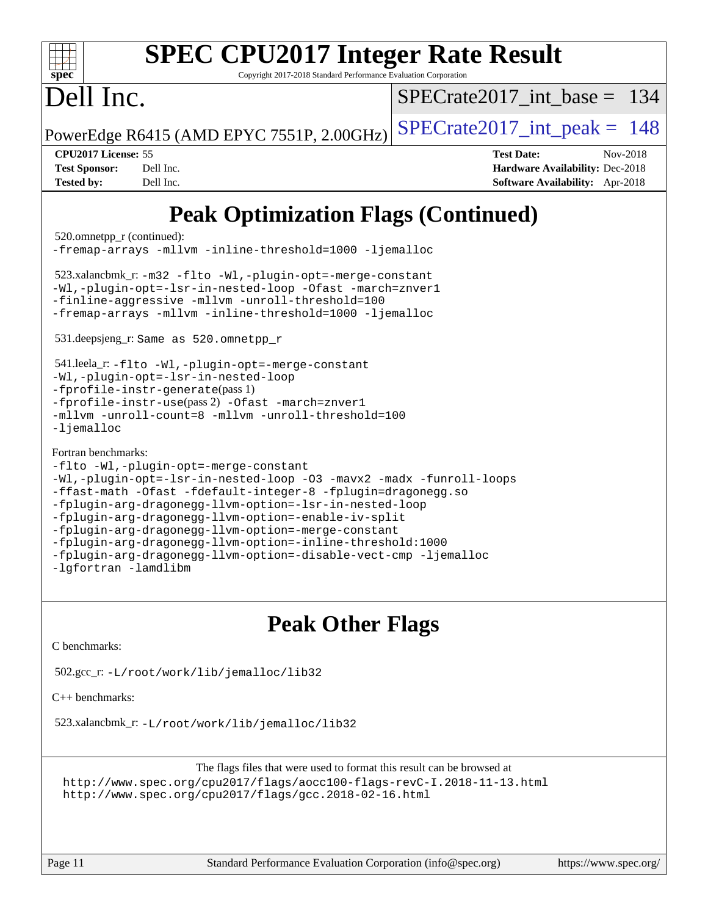| <b>SPEC CPU2017 Integer Rate Result</b><br>Copyright 2017-2018 Standard Performance Evaluation Corporation<br>spec <sup>®</sup>                                                                                                                                                                                                                                                                                                                                                                                                                                                                                                                                                                                                                      |                                                                                                            |  |  |  |  |  |
|------------------------------------------------------------------------------------------------------------------------------------------------------------------------------------------------------------------------------------------------------------------------------------------------------------------------------------------------------------------------------------------------------------------------------------------------------------------------------------------------------------------------------------------------------------------------------------------------------------------------------------------------------------------------------------------------------------------------------------------------------|------------------------------------------------------------------------------------------------------------|--|--|--|--|--|
| Dell Inc.                                                                                                                                                                                                                                                                                                                                                                                                                                                                                                                                                                                                                                                                                                                                            | $SPECrate2017$ int base = 134                                                                              |  |  |  |  |  |
| PowerEdge R6415 (AMD EPYC 7551P, 2.00GHz)                                                                                                                                                                                                                                                                                                                                                                                                                                                                                                                                                                                                                                                                                                            | $SPECrate2017\_int\_peak = 148$                                                                            |  |  |  |  |  |
| CPU2017 License: 55<br><b>Test Sponsor:</b><br>Dell Inc.<br><b>Tested by:</b><br>Dell Inc.                                                                                                                                                                                                                                                                                                                                                                                                                                                                                                                                                                                                                                                           | <b>Test Date:</b><br>Nov-2018<br>Hardware Availability: Dec-2018<br><b>Software Availability:</b> Apr-2018 |  |  |  |  |  |
| <b>Peak Optimization Flags (Continued)</b><br>520.omnetpp_r (continued):<br>-fremap-arrays -mllvm -inline-threshold=1000 -ljemalloc<br>523.xalancbmk_r: -m32 -flto -Wl,-plugin-opt=-merge-constant<br>-Wl,-plugin-opt=-lsr-in-nested-loop -Ofast -march=znver1<br>-finline-aggressive -mllvm -unroll-threshold=100<br>-fremap-arrays -mllvm -inline-threshold=1000 -ljemalloc<br>531.deepsjeng_r: Same as 520.omnetpp_r<br>541.leela_r: -flto -Wl,-plugin-opt=-merge-constant<br>-Wl,-plugin-opt=-lsr-in-nested-loop<br>-fprofile-instr-generate(pass 1)<br>-fprofile-instr-use(pass 2) -Ofast -march=znver1<br>-mllvm -unroll-count=8 -mllvm -unroll-threshold=100<br>$-lj$ emalloc<br>Fortran benchmarks:<br>-flto -Wl,-plugin-opt=-merge-constant |                                                                                                            |  |  |  |  |  |

```
-fplugin-arg-dragonegg-llvm-option=-lsr-in-nested-loop
-fplugin-arg-dragonegg-llvm-option=-enable-iv-split
```

```
-fplugin-arg-dragonegg-llvm-option=-merge-constant
-fplugin-arg-dragonegg-llvm-option=-inline-threshold:1000
```

```
-fplugin-arg-dragonegg-llvm-option=-disable-vect-cmp -ljemalloc
```

```
-lgfortran -lamdlibm
```
# **[Peak Other Flags](http://www.spec.org/auto/cpu2017/Docs/result-fields.html#PeakOtherFlags)**

[C benchmarks](http://www.spec.org/auto/cpu2017/Docs/result-fields.html#Cbenchmarks):

```
 502.gcc_r: -L/root/work/lib/jemalloc/lib32
```
[C++ benchmarks:](http://www.spec.org/auto/cpu2017/Docs/result-fields.html#CXXbenchmarks)

523.xalancbmk\_r: [-L/root/work/lib/jemalloc/lib32](http://www.spec.org/cpu2017/results/res2018q4/cpu2017-20181210-10166.flags.html#user_peakEXTRA_LIBS523_xalancbmk_r_Link_path_ed592dae44e5c1ab08e0623a53d3c5a4c6e35be404d5d0c77aec9324965777ec819518e6bc9b505d0969c714b6f83ef377306a01beedec47148c3dcded825687)

The flags files that were used to format this result can be browsed at <http://www.spec.org/cpu2017/flags/aocc100-flags-revC-I.2018-11-13.html> <http://www.spec.org/cpu2017/flags/gcc.2018-02-16.html>